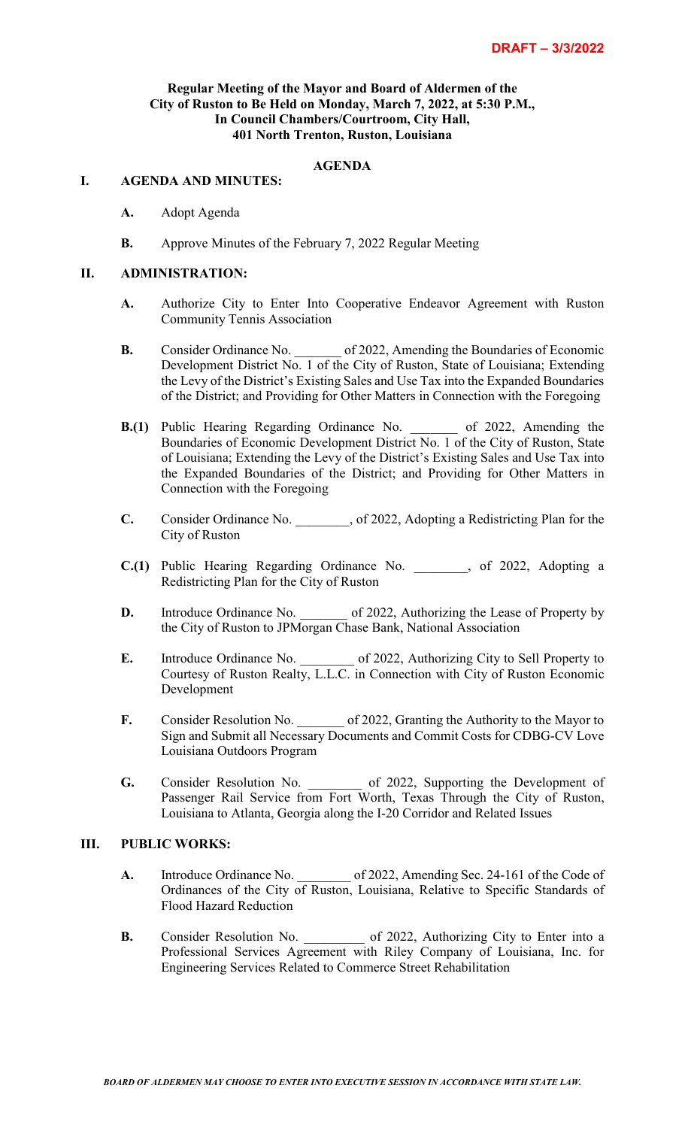### **Regular Meeting of the Mayor and Board of Aldermen of the City of Ruston to Be Held on Monday, March 7, 2022, at 5:30 P.M., In Council Chambers/Courtroom, City Hall, 401 North Trenton, Ruston, Louisiana**

## **AGENDA**

#### **I. AGENDA AND MINUTES:**

- **A.** Adopt Agenda
- **B.** Approve Minutes of the February 7, 2022 Regular Meeting

#### **II. ADMINISTRATION:**

- **A.** Authorize City to Enter Into Cooperative Endeavor Agreement with Ruston Community Tennis Association
- **B.** Consider Ordinance No.  $\qquad \qquad$  of 2022, Amending the Boundaries of Economic Development District No. 1 of the City of Ruston, State of Louisiana; Extending the Levy of the District's Existing Sales and Use Tax into the Expanded Boundaries of the District; and Providing for Other Matters in Connection with the Foregoing
- **B.(1)** Public Hearing Regarding Ordinance No. \_\_\_\_\_\_\_ of 2022, Amending the Boundaries of Economic Development District No. 1 of the City of Ruston, State of Louisiana; Extending the Levy of the District's Existing Sales and Use Tax into the Expanded Boundaries of the District; and Providing for Other Matters in Connection with the Foregoing
- **C.** Consider Ordinance No. , of 2022, Adopting a Redistricting Plan for the City of Ruston
- **C.(1)** Public Hearing Regarding Ordinance No. \_\_\_\_\_\_\_\_, of 2022, Adopting a Redistricting Plan for the City of Ruston
- **D.** Introduce Ordinance No. \_\_\_\_\_\_ of 2022, Authorizing the Lease of Property by the City of Ruston to JPMorgan Chase Bank, National Association
- **E.** Introduce Ordinance No.  $\qquad \qquad$  of 2022, Authorizing City to Sell Property to Courtesy of Ruston Realty, L.L.C. in Connection with City of Ruston Economic Development
- **F.** Consider Resolution No.  $\qquad \qquad$  of 2022, Granting the Authority to the Mayor to Sign and Submit all Necessary Documents and Commit Costs for CDBG-CV Love Louisiana Outdoors Program
- **G.** Consider Resolution No. \_\_\_\_\_\_\_\_ of 2022, Supporting the Development of Passenger Rail Service from Fort Worth, Texas Through the City of Ruston, Louisiana to Atlanta, Georgia along the I-20 Corridor and Related Issues

## **III. PUBLIC WORKS:**

- **A.** Introduce Ordinance No. \_\_\_\_\_\_\_\_ of 2022, Amending Sec. 24-161 of the Code of Ordinances of the City of Ruston, Louisiana, Relative to Specific Standards of Flood Hazard Reduction
- **B.** Consider Resolution No.  $\qquad \qquad$  of 2022, Authorizing City to Enter into a Professional Services Agreement with Riley Company of Louisiana, Inc. for Engineering Services Related to Commerce Street Rehabilitation